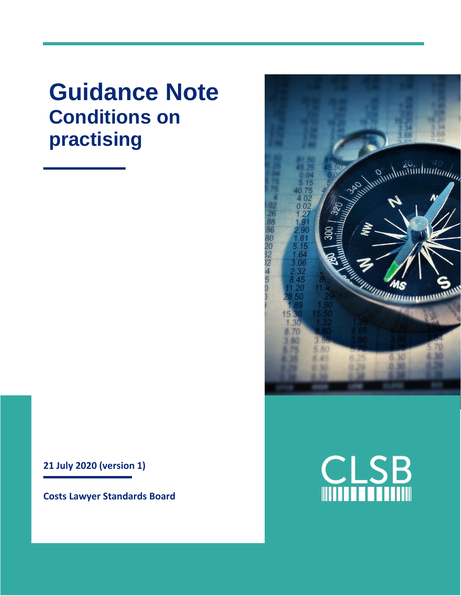**Guidance Note Conditions on practising**



**Costs Lawyer Standards Board**



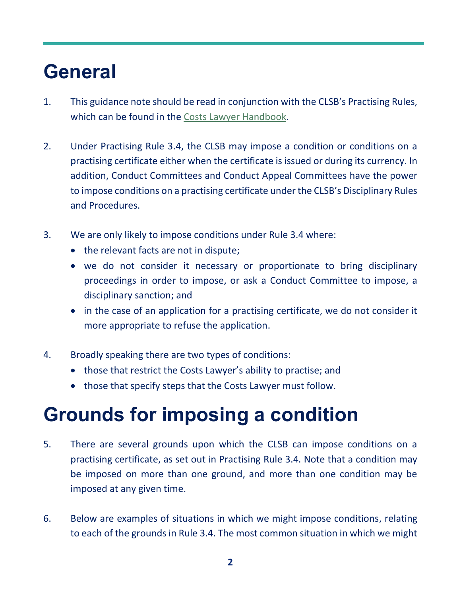# **General**

- 1. This guidance note should be read in conjunction with the CLSB's Practising Rules, which can be found in the [Costs Lawyer Handbook.](https://clsb.info/for-costs-lawyers/costs-lawyer-handbook/)
- 2. Under Practising Rule 3.4, the CLSB may impose a condition or conditions on a practising certificate either when the certificate is issued or during its currency. In addition, Conduct Committees and Conduct Appeal Committees have the power to impose conditions on a practising certificate under the CLSB's Disciplinary Rules and Procedures.
- 3. We are only likely to impose conditions under Rule 3.4 where:
	- the relevant facts are not in dispute;
	- we do not consider it necessary or proportionate to bring disciplinary proceedings in order to impose, or ask a Conduct Committee to impose, a disciplinary sanction; and
	- in the case of an application for a practising certificate, we do not consider it more appropriate to refuse the application.
- 4. Broadly speaking there are two types of conditions:
	- those that restrict the Costs Lawyer's ability to practise; and
	- those that specify steps that the Costs Lawyer must follow.

## **Grounds for imposing a condition**

- 5. There are several grounds upon which the CLSB can impose conditions on a practising certificate, as set out in Practising Rule 3.4. Note that a condition may be imposed on more than one ground, and more than one condition may be imposed at any given time.
- 6. Below are examples of situations in which we might impose conditions, relating to each of the grounds in Rule 3.4. The most common situation in which we might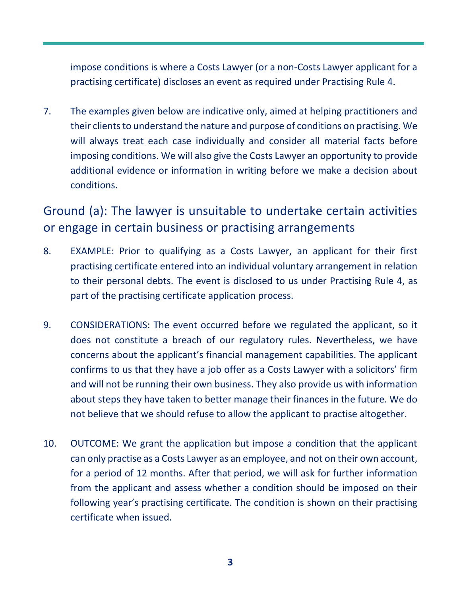impose conditions is where a Costs Lawyer (or a non-Costs Lawyer applicant for a practising certificate) discloses an event as required under Practising Rule 4.

7. The examples given below are indicative only, aimed at helping practitioners and their clients to understand the nature and purpose of conditions on practising. We will always treat each case individually and consider all material facts before imposing conditions. We will also give the Costs Lawyer an opportunity to provide additional evidence or information in writing before we make a decision about conditions.

Ground (a): The lawyer is unsuitable to undertake certain activities or engage in certain business or practising arrangements

- 8. EXAMPLE: Prior to qualifying as a Costs Lawyer, an applicant for their first practising certificate entered into an individual voluntary arrangement in relation to their personal debts. The event is disclosed to us under Practising Rule 4, as part of the practising certificate application process.
- 9. CONSIDERATIONS: The event occurred before we regulated the applicant, so it does not constitute a breach of our regulatory rules. Nevertheless, we have concerns about the applicant's financial management capabilities. The applicant confirms to us that they have a job offer as a Costs Lawyer with a solicitors' firm and will not be running their own business. They also provide us with information about steps they have taken to better manage their finances in the future. We do not believe that we should refuse to allow the applicant to practise altogether.
- 10. OUTCOME: We grant the application but impose a condition that the applicant can only practise as a Costs Lawyer as an employee, and not on their own account, for a period of 12 months. After that period, we will ask for further information from the applicant and assess whether a condition should be imposed on their following year's practising certificate. The condition is shown on their practising certificate when issued.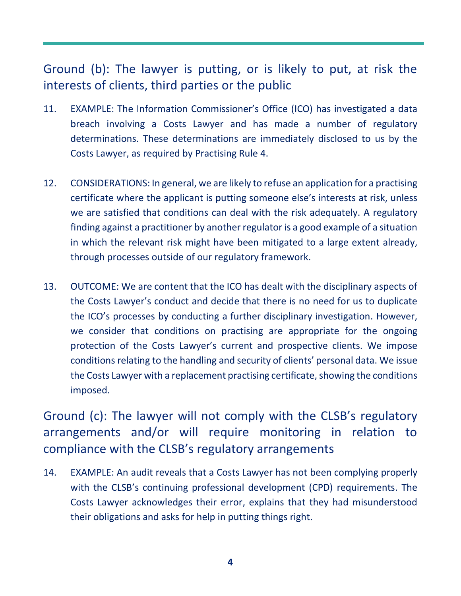#### Ground (b): The lawyer is putting, or is likely to put, at risk the interests of clients, third parties or the public

- 11. EXAMPLE: The Information Commissioner's Office (ICO) has investigated a data breach involving a Costs Lawyer and has made a number of regulatory determinations. These determinations are immediately disclosed to us by the Costs Lawyer, as required by Practising Rule 4.
- 12. CONSIDERATIONS: In general, we are likely to refuse an application for a practising certificate where the applicant is putting someone else's interests at risk, unless we are satisfied that conditions can deal with the risk adequately. A regulatory finding against a practitioner by another regulator is a good example of a situation in which the relevant risk might have been mitigated to a large extent already, through processes outside of our regulatory framework.
- 13. OUTCOME: We are content that the ICO has dealt with the disciplinary aspects of the Costs Lawyer's conduct and decide that there is no need for us to duplicate the ICO's processes by conducting a further disciplinary investigation. However, we consider that conditions on practising are appropriate for the ongoing protection of the Costs Lawyer's current and prospective clients. We impose conditions relating to the handling and security of clients' personal data. We issue the Costs Lawyer with a replacement practising certificate, showing the conditions imposed.

Ground (c): The lawyer will not comply with the CLSB's regulatory arrangements and/or will require monitoring in relation to compliance with the CLSB's regulatory arrangements

14. EXAMPLE: An audit reveals that a Costs Lawyer has not been complying properly with the CLSB's continuing professional development (CPD) requirements. The Costs Lawyer acknowledges their error, explains that they had misunderstood their obligations and asks for help in putting things right.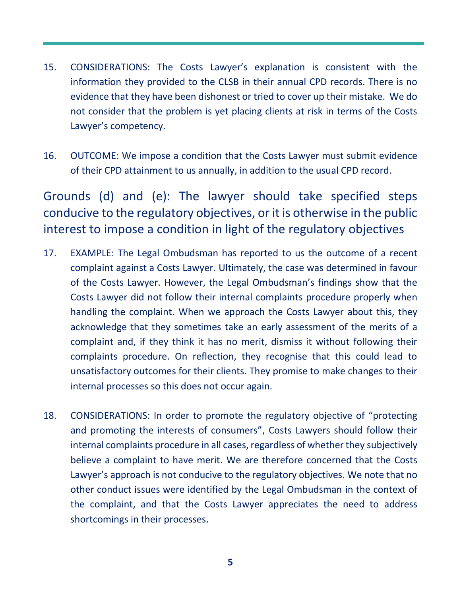- 15. CONSIDERATIONS: The Costs Lawyer's explanation is consistent with the information they provided to the CLSB in their annual CPD records. There is no evidence that they have been dishonest or tried to cover up their mistake. We do not consider that the problem is yet placing clients at risk in terms of the Costs Lawyer's competency.
- 16. OUTCOME: We impose a condition that the Costs Lawyer must submit evidence of their CPD attainment to us annually, in addition to the usual CPD record.

Grounds (d) and (e): The lawyer should take specified steps conducive to the regulatory objectives, or it is otherwise in the public interest to impose a condition in light of the regulatory objectives

- 17. EXAMPLE: The Legal Ombudsman has reported to us the outcome of a recent complaint against a Costs Lawyer. Ultimately, the case was determined in favour of the Costs Lawyer. However, the Legal Ombudsman's findings show that the Costs Lawyer did not follow their internal complaints procedure properly when handling the complaint. When we approach the Costs Lawyer about this, they acknowledge that they sometimes take an early assessment of the merits of a complaint and, if they think it has no merit, dismiss it without following their complaints procedure. On reflection, they recognise that this could lead to unsatisfactory outcomes for their clients. They promise to make changes to their internal processes so this does not occur again.
- 18. CONSIDERATIONS: In order to promote the regulatory objective of "protecting and promoting the interests of consumers", Costs Lawyers should follow their internal complaints procedure in all cases, regardless of whether they subjectively believe a complaint to have merit. We are therefore concerned that the Costs Lawyer's approach is not conducive to the regulatory objectives. We note that no other conduct issues were identified by the Legal Ombudsman in the context of the complaint, and that the Costs Lawyer appreciates the need to address shortcomings in their processes.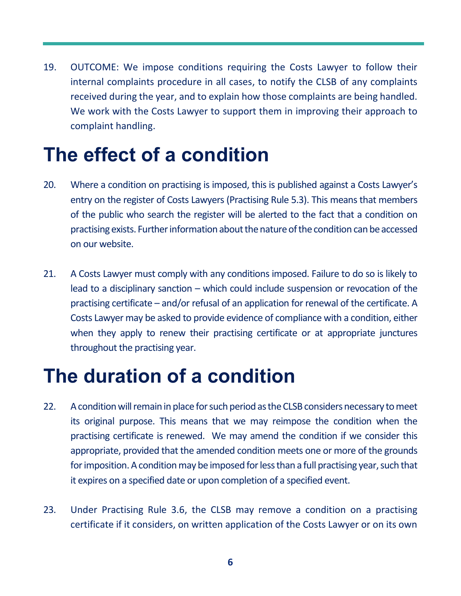19. OUTCOME: We impose conditions requiring the Costs Lawyer to follow their internal complaints procedure in all cases, to notify the CLSB of any complaints received during the year, and to explain how those complaints are being handled. We work with the Costs Lawyer to support them in improving their approach to complaint handling.

### **The effect of a condition**

- 20. Where a condition on practising is imposed, this is published against a Costs Lawyer's entry on the register of Costs Lawyers (Practising Rule 5.3). This means that members of the public who search the register will be alerted to the fact that a condition on practising exists. Further information about the nature of the condition can be accessed on our website.
- 21. A Costs Lawyer must comply with any conditions imposed. Failure to do so is likely to lead to a disciplinary sanction – which could include suspension or revocation of the practising certificate – and/or refusal of an application for renewal of the certificate. A Costs Lawyer may be asked to provide evidence of compliance with a condition, either when they apply to renew their practising certificate or at appropriate junctures throughout the practising year.

### **The duration of a condition**

- 22. A condition will remain in place for such period as the CLSB considers necessary to meet its original purpose. This means that we may reimpose the condition when the practising certificate is renewed. We may amend the condition if we consider this appropriate, provided that the amended condition meets one or more of the grounds for imposition. A condition may be imposed for less than a full practising year, such that it expires on a specified date or upon completion of a specified event.
- 23. Under Practising Rule 3.6, the CLSB may remove a condition on a practising certificate if it considers, on written application of the Costs Lawyer or on its own